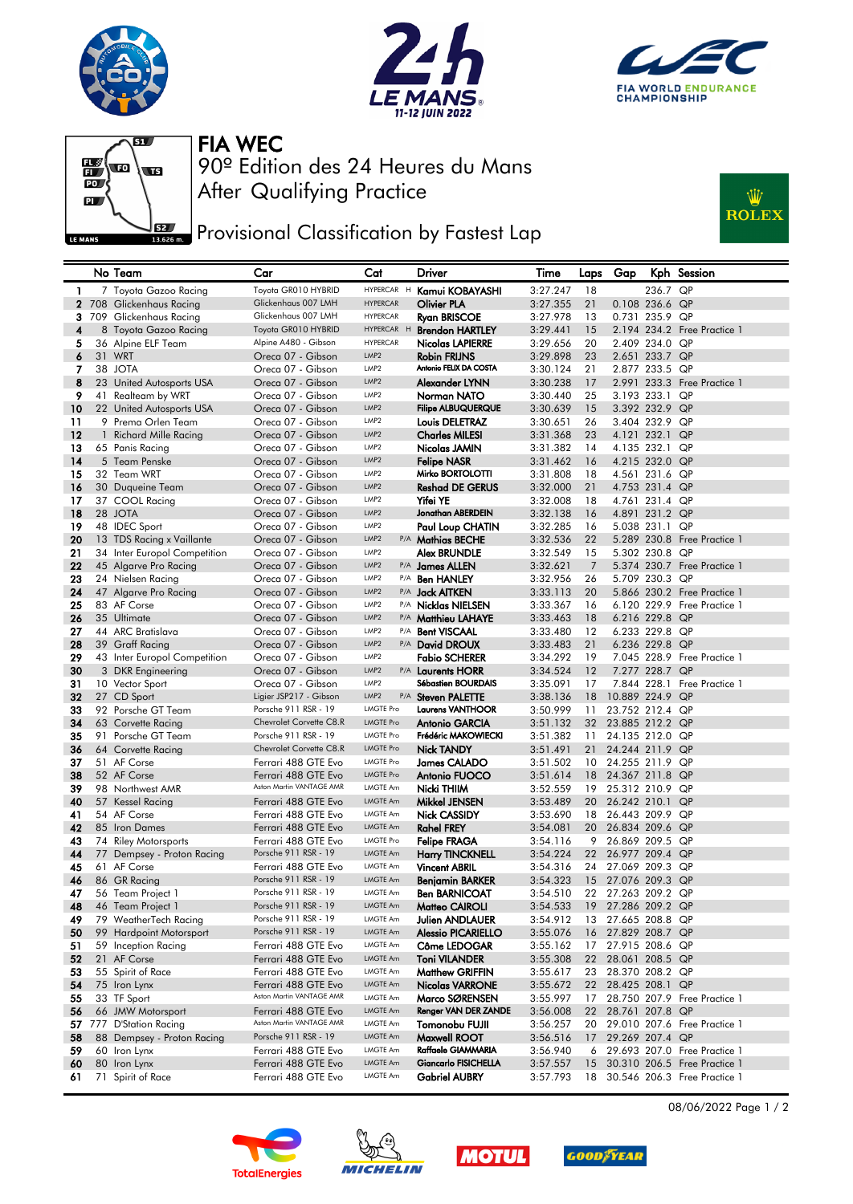







After Qualifying Practice 90º Edition des 24 Heures du Mans FIA WEC

## Provisional Classification by Fastest Lap



|                  | No Team                                         | Car                                             | Cat                                |   | Driver                                   | Time                 | Laps     | Gap                                |                                  | Kph Session                  |
|------------------|-------------------------------------------------|-------------------------------------------------|------------------------------------|---|------------------------------------------|----------------------|----------|------------------------------------|----------------------------------|------------------------------|
| $\mathbf{1}$     | 7 Toyota Gazoo Racing                           | Toyota GR010 HYBRID                             | HYPERCAR H                         |   | Kamui KOBAYASHI                          | 3:27.247             | 18       |                                    | 236.7 QP                         |                              |
| $\mathbf{2}$     | 708 Glickenhaus Racing                          | Glickenhaus 007 LMH                             | <b>HYPERCAR</b>                    |   | <b>Olivier PLA</b>                       | 3:27.355             | 21       |                                    | 0.108 236.6 QP                   |                              |
|                  | 3 709 Glickenhaus Racing                        | Glickenhaus 007 LMH                             | <b>HYPERCAR</b>                    |   | <b>Ryan BRISCOE</b>                      | 3:27.978             | 13       |                                    | 0.731 235.9 QP                   |                              |
| $\boldsymbol{4}$ | 8 Toyota Gazoo Racing                           | Toyota GR010 HYBRID                             | <b>HYPERCAR</b>                    | H | <b>Brendon HARTLEY</b>                   | 3:29.441             | 15       |                                    |                                  | 2.194 234.2 Free Practice 1  |
| 5                | 36 Alpine ELF Team                              | Alpine A480 - Gibson                            | <b>HYPERCAR</b>                    |   | <b>Nicolas LAPIERRE</b>                  | 3:29.656             | 20       |                                    | 2.409 234.0 QP                   |                              |
| 6                | 31 WRT                                          | Oreca 07 - Gibson                               | LMP <sub>2</sub>                   |   | <b>Robin FRIJNS</b>                      | 3:29.898             | 23       |                                    | 2.651 233.7 QP                   |                              |
| 7                | 38 JOTA                                         | Oreca 07 - Gibson                               | LMP2                               |   | Antonio FELIX DA COSTA                   | 3:30.124             | 21       |                                    | 2.877 233.5 QP                   |                              |
| 8                | 23 United Autosports USA                        | Oreca 07 - Gibson                               | LMP <sub>2</sub>                   |   | Alexander LYNN                           | 3:30.238             | 17       |                                    |                                  | 2.991 233.3 Free Practice 1  |
| 9                | 41 Realteam by WRT                              | Oreca 07 - Gibson<br>Oreca 07 - Gibson          | LMP2<br>LMP <sub>2</sub>           |   | Norman NATO                              | 3:30.440             | 25       | 3.193 233.1                        |                                  | QP                           |
| 10               | 22 United Autosports USA                        |                                                 | LMP <sub>2</sub>                   |   | <b>Filipe ALBUQUERQUE</b>                | 3:30.639             | 15<br>26 |                                    | 3.392 232.9 QP<br>3.404 232.9 QP |                              |
| 11<br>12         | 9 Prema Orlen Team<br>1 Richard Mille Racing    | Oreca 07 - Gibson<br>Oreca 07 - Gibson          | LMP2                               |   | Louis DELETRAZ<br><b>Charles MILESI</b>  | 3:30.651<br>3:31.368 | 23       |                                    | 4.121 232.1 QP                   |                              |
| 13               | 65 Panis Racing                                 | Oreca 07 - Gibson                               | LMP <sub>2</sub>                   |   | <b>Nicolas JAMIN</b>                     | 3:31.382             | 14       |                                    | 4.135 232.1 QP                   |                              |
| 14               | 5 Team Penske                                   | Oreca 07 - Gibson                               | LMP2                               |   | <b>Felipe NASR</b>                       | 3:31.462             | 16       |                                    | 4.215 232.0 QP                   |                              |
| 15               | 32 Team WRT                                     | Oreca 07 - Gibson                               | LMP <sub>2</sub>                   |   | Mirko BORTOLOTTI                         | 3:31.808             | 18       |                                    | 4.561 231.6 QP                   |                              |
| 16               | 30 Duqueine Team                                | Oreca 07 - Gibson                               | LMP2                               |   | <b>Reshad DE GERUS</b>                   | 3:32.000             | 21       |                                    | 4.753 231.4 QP                   |                              |
| 17               | 37 COOL Racing                                  | Oreca 07 - Gibson                               | LMP2                               |   | Yifei YE                                 | 3:32.008             | 18       |                                    | 4.761 231.4 QP                   |                              |
| 18               | 28 JOTA                                         | Oreca 07 - Gibson                               | LMP2                               |   | Jonathan ABERDEIN                        | 3:32.138             | 16       |                                    | 4.891 231.2 QP                   |                              |
| 19               | 48 IDEC Sport                                   | Oreca 07 - Gibson                               | LMP2                               |   | Paul Loup CHATIN                         | 3:32.285             | 16       |                                    | 5.038 231.1 QP                   |                              |
| 20               | 13 TDS Racing x Vaillante                       | Oreca 07 - Gibson                               | LMP2                               |   | P/A Mathias BECHE                        | 3:32.536             | 22       |                                    |                                  | 5.289 230.8 Free Practice 1  |
| 21               | 34 Inter Europol Competition                    | Oreca 07 - Gibson                               | LMP2                               |   | Alex BRUNDLE                             | 3:32.549             | 15       |                                    | 5.302 230.8 QP                   |                              |
| 22               | 45 Algarve Pro Racing                           | Oreca 07 - Gibson                               | LMP2                               |   | P/A James ALLEN                          | 3:32.621             | 7        |                                    |                                  | 5.374 230.7 Free Practice 1  |
| 23               | 24 Nielsen Racing                               | Oreca 07 - Gibson                               | LMP2                               |   | P/A <b>Ben HANLEY</b>                    | 3:32.956             | 26       |                                    | 5.709 230.3 QP                   |                              |
| 24               | 47 Algarve Pro Racing                           | Oreca 07 - Gibson                               | LMP2                               |   | P/A Jack AITKEN                          | 3:33.113             | 20       |                                    |                                  | 5.866 230.2 Free Practice 1  |
| 25               | 83 AF Corse                                     | Oreca 07 - Gibson                               | LMP2                               |   | P/A <b>Nicklas NIELSEN</b>               | 3:33.367             | 16       |                                    |                                  | 6.120 229.9 Free Practice 1  |
| 26               | 35 Ultimate                                     | Oreca 07 - Gibson                               | LMP <sub>2</sub>                   |   | P/A <b>Matthieu LAHAYE</b>               | 3:33.463             | 18       |                                    | 6.216 229.8 QP                   |                              |
| 27<br>28         | 44 ARC Bratislava                               | Oreca 07 - Gibson                               | LMP <sub>2</sub><br>LMP2           |   | P/A Bent VISCAAL<br>P/A David DROUX      | 3:33.480<br>3:33.483 | 12       |                                    | 6.233 229.8 QP<br>6.236 229.8 QP |                              |
| 29               | 39 Graff Racing<br>43 Inter Europol Competition | Oreca 07 - Gibson<br>Oreca 07 - Gibson          | LMP2                               |   | <b>Fabio SCHERER</b>                     | 3:34.292             | 21<br>19 |                                    |                                  | 7.045 228.9 Free Practice 1  |
| 30               | 3 DKR Engineering                               | Oreca 07 - Gibson                               | LMP <sub>2</sub>                   |   | P/A Laurents HORR                        | 3:34.524             | 12       |                                    | 7.277 228.7 QP                   |                              |
| 31               | 10 Vector Sport                                 | Oreca 07 - Gibson                               | LMP2                               |   | Sébastien BOURDAIS                       | 3:35.091             | 17       |                                    |                                  | 7.844 228.1 Free Practice 1  |
| 32               | 27 CD Sport                                     | Ligier JSP217 - Gibson                          | LMP <sub>2</sub>                   |   | P/A Steven PALETTE                       | 3:38.136             | 18       | 10.889 224.9                       |                                  | QP                           |
| 33               | 92 Porsche GT Team                              | Porsche 911 RSR - 19                            | <b>LMGTE Pro</b>                   |   | <b>Laurens VANTHOOR</b>                  | 3:50.999             | 11       | 23.752 212.4 QP                    |                                  |                              |
| 34               | 63 Corvette Racing                              | Chevrolet Corvette C8.R                         | <b>LMGTE Pro</b>                   |   | Antonio GARCIA                           | 3:51.132             | 32       | 23.885 212.2 QP                    |                                  |                              |
| 35               | 91 Porsche GT Team                              | Porsche 911 RSR - 19                            | <b>LMGTE Pro</b>                   |   | Frédéric MAKOWIECKI                      | 3:51.382             | 11       | 24.135 212.0 QP                    |                                  |                              |
| 36               | 64 Corvette Racing                              | Chevrolet Corvette C8.R                         | <b>LMGTE Pro</b>                   |   | <b>Nick TANDY</b>                        | 3:51.491             | 21       | 24.244 211.9                       |                                  | QP                           |
| 37               | 51 AF Corse                                     | Ferrari 488 GTE Evo                             | <b>LMGTE Pro</b>                   |   | James CALADO                             | 3:51.502             | 10       | 24.255 211.9 QP                    |                                  |                              |
| 38               | 52 AF Corse                                     | Ferrari 488 GTE Evo                             | <b>LMGTE Pro</b>                   |   | Antonio FUOCO                            | 3:51.614             | 18       | 24.367 211.8 QP                    |                                  |                              |
| 39               | 98 Northwest AMR                                | Aston Martin VANTAGE AMR                        | <b>LMGTE Am</b>                    |   | Nicki THIIM                              | 3:52.559             | 19       | 25.312 210.9 QP                    |                                  |                              |
| 40               | 57 Kessel Racing                                | Ferrari 488 GTE Evo                             | <b>LMGTE Am</b>                    |   | Mikkel JENSEN                            | 3:53.489             | 20       | 26.242 210.1                       |                                  | QP                           |
| 41<br>42         | 54 AF Corse<br>85 Iron Dames                    | Ferrari 488 GTE Evo<br>Ferrari 488 GTE Evo      | <b>LMGTE Am</b><br><b>LMGTE Am</b> |   | <b>Nick CASSIDY</b><br><b>Rahel FREY</b> | 3:53.690<br>3:54.081 | 18<br>20 | 26.443 209.9 QP<br>26.834 209.6 QP |                                  |                              |
| 43               | 74 Riley Motorsports                            | Ferrari 488 GTE Evo                             | <b>LMGTE Pro</b>                   |   | <b>Felipe FRAGA</b>                      | 3:54.116             | 9        | 26.869 209.5 QP                    |                                  |                              |
| 44               | 77 Dempsey - Proton Racing                      | Porsche 911 RSR - 19                            | LMGTE Am                           |   | <b>Harry TINCKNELL</b>                   | 3:54.224             | 22       | 26.977 209.4                       |                                  | QP                           |
| 45               | 61 AF Corse                                     | Ferrari 488 GTE Evo                             | LMGTE Am                           |   | <b>Vincent ABRIL</b>                     | 3:54.316             | 24       | 27.069 209.3 QP                    |                                  |                              |
| 46               | 86 GR Racing                                    | Porsche 911 RSR - 19                            | <b>LMGTE Am</b>                    |   | <b>Benjamin BARKER</b>                   | 3:54.323             | 15       | 27.076 209.3                       |                                  | QP                           |
| 47               | 56 Team Project 1                               | Porsche 911 RSR - 19                            | LMGTE Am                           |   | <b>Ben BARNICOAT</b>                     | 3:54.510             | 22       | 27.263 209.2 QP                    |                                  |                              |
| 48               | 46 Team Project 1                               | Porsche 911 RSR - 19                            | LMGTE Am                           |   | Matteo CAIROLI                           | 3:54.533             | 19       | 27.286 209.2 QP                    |                                  |                              |
| 49               | 79 WeatherTech Racing                           | Porsche 911 RSR - 19                            | LMGTE Am                           |   | Julien ANDLAUER                          | 3:54.912             | 13       | 27.665 208.8 QP                    |                                  |                              |
| 50               | 99 Hardpoint Motorsport                         | Porsche 911 RSR - 19                            | <b>LMGTE Am</b>                    |   | <b>Alessio PICARIELLO</b>                | 3:55.076             | 16       | 27.829 208.7 QP                    |                                  |                              |
| 51               | 59 Inception Racing                             | Ferrari 488 GTE Evo                             | LMGTE Am                           |   | Côme LEDOGAR                             | 3:55.162             | 17       | 27.915 208.6 QP                    |                                  |                              |
| 52               | 21 AF Corse                                     | Ferrari 488 GTE Evo                             | LMGTE Am                           |   | Toni VILANDER                            | 3:55.308             | 22       | 28.061 208.5 QP                    |                                  |                              |
| 53               | 55 Spirit of Race                               | Ferrari 488 GTE Evo                             | LMGTE Am                           |   | <b>Matthew GRIFFIN</b>                   | 3:55.617             | 23       | 28.370 208.2 QP                    |                                  |                              |
| 54               | 75 Iron Lynx                                    | Ferrari 488 GTE Evo<br>Aston Martin VANTAGE AMR | <b>LMGTE Am</b>                    |   | <b>Nicolas VARRONE</b>                   | 3:55.672             | 22       | 28.425 208.1 QP                    |                                  |                              |
| 55               | 33 TF Sport                                     |                                                 | LMGTE Am                           |   | Marco SØRENSEN                           | 3:55.997             | 17       |                                    |                                  | 28.750 207.9 Free Practice 1 |
| 56               | 66 JMW Motorsport<br>777 D'Station Racing       | Ferrari 488 GTE Evo<br>Aston Martin VANTAGE AMR | <b>LMGTE Am</b><br>LMGTE Am        |   | Renger VAN DER ZANDE<br>Tomonobu FUJII   | 3:56.008<br>3:56.257 | 22<br>20 | 28.761 207.8 QP                    |                                  | 29.010 207.6 Free Practice 1 |
| 57<br>58         | 88 Dempsey - Proton Racing                      | Porsche 911 RSR - 19                            | LMGTE Am                           |   | Maxwell ROOT                             | 3:56.516             |          | 17 29.269 207.4 QP                 |                                  |                              |
| 59               | 60 Iron Lynx                                    | Ferrari 488 GTE Evo                             | LMGTE Am                           |   | Raffaele GIAMMARIA                       | 3:56.940             | 6        |                                    |                                  | 29.693 207.0 Free Practice 1 |
| 60               | 80 Iron Lynx                                    | Ferrari 488 GTE Evo                             | <b>LMGTE Am</b>                    |   | Giancarlo FISICHELLA                     | 3:57.557             | 15       |                                    |                                  | 30.310 206.5 Free Practice 1 |
| 61               | 71 Spirit of Race                               | Ferrari 488 GTE Evo                             | LMGTE Am                           |   | <b>Gabriel AUBRY</b>                     | 3:57.793             | 18       |                                    |                                  | 30.546 206.3 Free Practice 1 |
|                  |                                                 |                                                 |                                    |   |                                          |                      |          |                                    |                                  |                              |









08/06/2022 Page 1 / 2